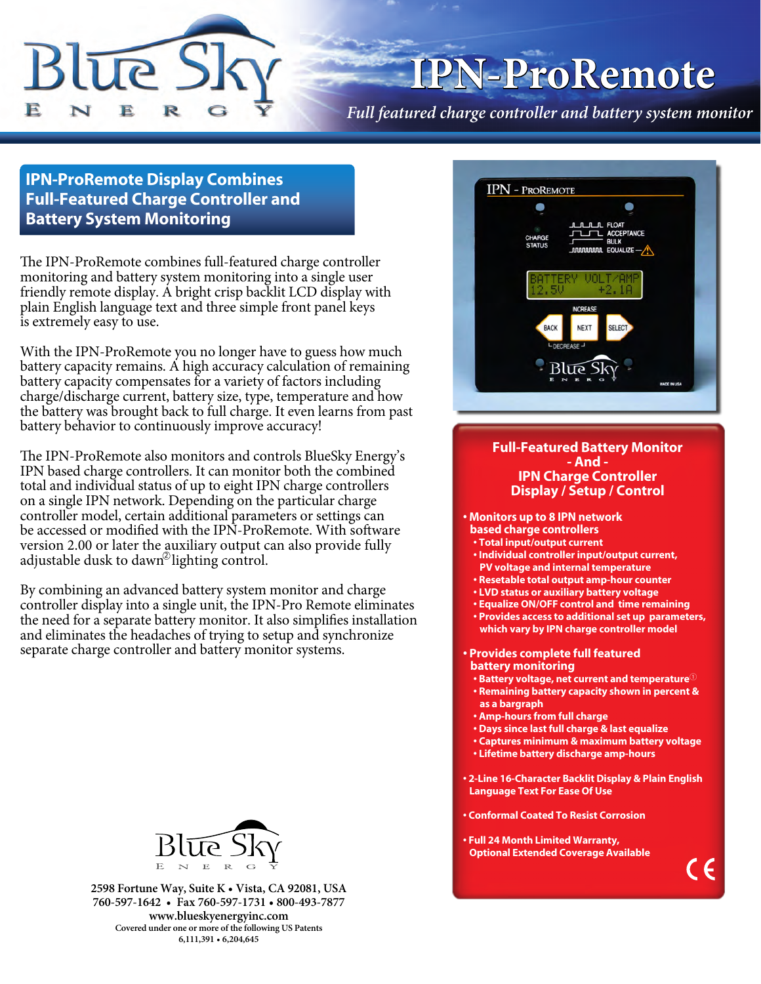

# **IPN-ProRemote**

*Full featured charge controller and battery system monitor*

### **IPN-ProRemote Display Combines Full-Featured Charge Controller and Battery System Monitoring**

The IPN-ProRemote combines full-featured charge controller monitoring and battery system monitoring into a single user friendly remote display. A bright crisp backlit LCD display with plain English language text and three simple front panel keys is extremely easy to use.

With the IPN-ProRemote you no longer have to guess how much battery capacity remains. A high accuracy calculation of remaining battery capacity compensates for a variety of factors including charge/discharge current, battery size, type, temperature and how the battery was brought back to full charge. It even learns from past battery behavior to continuously improve accuracy!

adjustable dusk to dawn<sup>2</sup>lighting control. The IPN-ProRemote also monitors and controls BlueSky Energy's IPN based charge controllers. It can monitor both the combined total and individual status of up to eight IPN charge controllers on a single IPN network. Depending on the particular charge controller model, certain additional parameters or settings can be accessed or modified with the IPN-ProRemote. With software version 2.00 or later the auxiliary output can also provide fully

By combining an advanced battery system monitor and charge controller display into a single unit, the IPN-Pro Remote eliminates the need for a separate battery monitor. It also simplifies installation and eliminates the headaches of trying to setup and synchronize separate charge controller and battery monitor systems.



**2598 Fortune Way, Suite K • Vista, CA 92081, USA 760-597-1642 • Fax 760-597-1731 • 800-493-7877 www.blueskyenergyinc.com Covered under one or more of the following US Patents 6,111,391 • 6,204,645**



#### **Full-Featured Battery Monitor - And - IPN Charge Controller Display / Setup / Control**

**• Monitors up to 8 IPN network** 

- **based charge controllers • Total input/output current**
- **Individual controller input/output current, PV voltage and internal temperature**
- **Resetable total output amp-hour counter**
- **LVD status or auxiliary battery voltage**
- **Equalize ON/OFF control and time remaining**
- **Provides access to additional set up parameters, which vary by IPN charge controller model**

#### **• Provides complete full featured battery monitoring**

- **Battery voltage, net current and temperature**<sup>①</sup>  **• Remaining battery capacity shown in percent &**
- **as a bargraph**
- **Amp-hours from full charge**
- **Days since last full charge & last equalize**
- **Captures minimum & maximum battery voltage**
- **Lifetime battery discharge amp-hours**
- **2-Line 16-Character Backlit Display & Plain English Language Text For Ease Of Use**

 $\in \epsilon$ 

- **Conformal Coated To Resist Corrosion**
- **Full 24 Month Limited Warranty, Optional Extended Coverage Available**